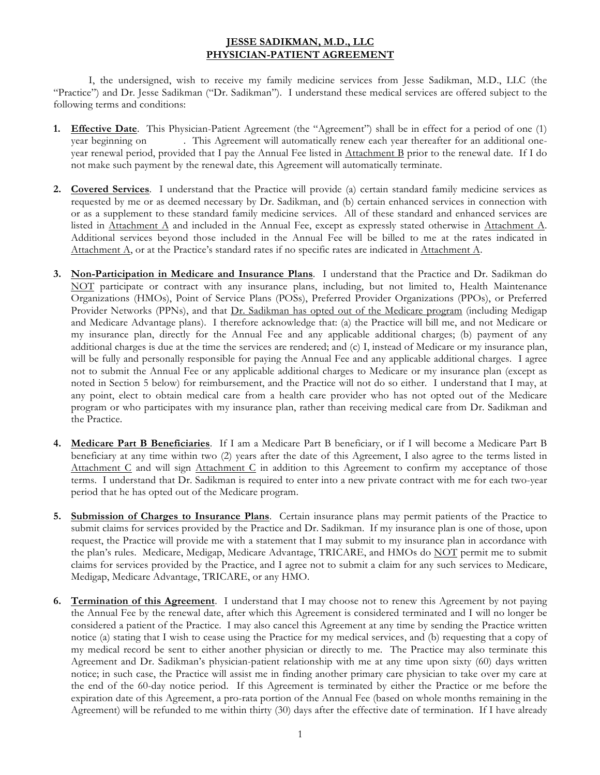# **JESSE SADIKMAN, M.D., LLC PHYSICIAN-PATIENT AGREEMENT**

I, the undersigned, wish to receive my family medicine services from Jesse Sadikman, M.D., LLC (the "Practice") and Dr. Jesse Sadikman ("Dr. Sadikman"). I understand these medical services are offered subject to the following terms and conditions:

- 1. **Effective Date**. This Physician-Patient Agreement (the "Agreement") shall be in effect for a period of one (1) year beginning on . This Agreement will automatically renew each year thereafter for an additional oneyear renewal period, provided that I pay the Annual Fee listed in Attachment B prior to the renewal date. If I do not make such payment by the renewal date, this Agreement will automatically terminate.
- **2. Covered Services**.I understand that the Practice will provide (a) certain standard family medicine services as requested by me or as deemed necessary by Dr. Sadikman, and (b) certain enhanced services in connection with or as a supplement to these standard family medicine services. All of these standard and enhanced services are listed in Attachment A and included in the Annual Fee, except as expressly stated otherwise in Attachment A. Additional services beyond those included in the Annual Fee will be billed to me at the rates indicated in Attachment A, or at the Practice's standard rates if no specific rates are indicated in Attachment A.
- **3. Non-Participation in Medicare and Insurance Plans**. I understand that the Practice and Dr. Sadikman do NOT participate or contract with any insurance plans, including, but not limited to, Health Maintenance Organizations (HMOs), Point of Service Plans (POSs), Preferred Provider Organizations (PPOs), or Preferred Provider Networks (PPNs), and that Dr. Sadikman has opted out of the Medicare program (including Medigap and Medicare Advantage plans). I therefore acknowledge that: (a) the Practice will bill me, and not Medicare or my insurance plan, directly for the Annual Fee and any applicable additional charges; (b) payment of any additional charges is due at the time the services are rendered; and (c) I, instead of Medicare or my insurance plan, will be fully and personally responsible for paying the Annual Fee and any applicable additional charges. I agree not to submit the Annual Fee or any applicable additional charges to Medicare or my insurance plan (except as noted in Section 5 below) for reimbursement, and the Practice will not do so either. I understand that I may, at any point, elect to obtain medical care from a health care provider who has not opted out of the Medicare program or who participates with my insurance plan, rather than receiving medical care from Dr. Sadikman and the Practice.
- **4. Medicare Part B Beneficiaries**. If I am a Medicare Part B beneficiary, or if I will become a Medicare Part B beneficiary at any time within two (2) years after the date of this Agreement, I also agree to the terms listed in Attachment C and will sign Attachment C in addition to this Agreement to confirm my acceptance of those terms. I understand that Dr. Sadikman is required to enter into a new private contract with me for each two-year period that he has opted out of the Medicare program.
- **5. Submission of Charges to Insurance Plans**. Certain insurance plans may permit patients of the Practice to submit claims for services provided by the Practice and Dr. Sadikman. If my insurance plan is one of those, upon request, the Practice will provide me with a statement that I may submit to my insurance plan in accordance with the plan's rules. Medicare, Medigap, Medicare Advantage, TRICARE, and HMOs do NOT permit me to submit claims for services provided by the Practice, and I agree not to submit a claim for any such services to Medicare, Medigap, Medicare Advantage, TRICARE, or any HMO.
- **6. Termination of this Agreement**. I understand that I may choose not to renew this Agreement by not paying the Annual Fee by the renewal date, after which this Agreement is considered terminated and I will no longer be considered a patient of the Practice. I may also cancel this Agreement at any time by sending the Practice written notice (a) stating that I wish to cease using the Practice for my medical services, and (b) requesting that a copy of my medical record be sent to either another physician or directly to me. The Practice may also terminate this Agreement and Dr. Sadikman's physician-patient relationship with me at any time upon sixty (60) days written notice; in such case, the Practice will assist me in finding another primary care physician to take over my care at the end of the 60-day notice period. If this Agreement is terminated by either the Practice or me before the expiration date of this Agreement, a pro-rata portion of the Annual Fee (based on whole months remaining in the Agreement) will be refunded to me within thirty (30) days after the effective date of termination. If I have already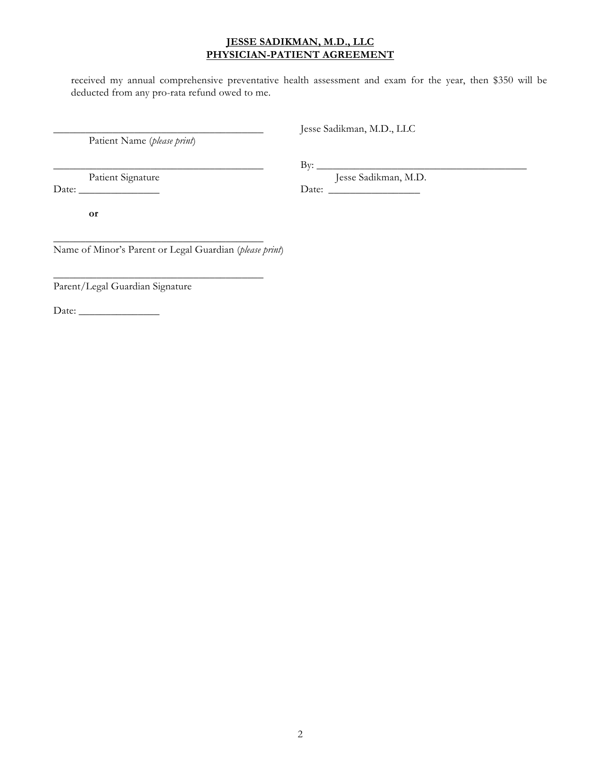# **JESSE SADIKMAN, M.D., LLC PHYSICIAN-PATIENT AGREEMENT**

received my annual comprehensive preventative health assessment and exam for the year, then \$350 will be deducted from any pro-rata refund owed to me.

Patient Name (*please print*)

\_\_\_\_\_\_\_\_\_\_\_\_\_\_\_\_\_\_\_\_\_\_\_\_\_\_\_\_\_\_\_\_\_\_\_\_\_\_\_ Jesse Sadikman, M.D., LLC

 $\qquad \qquad \text{By:} \qquad \qquad \qquad \text{By:}$ 

Patient Signature Jesse Sadikman, M.D. Date: \_\_\_\_\_\_\_\_\_\_\_\_\_\_\_ Date: \_\_\_\_\_\_\_\_\_\_\_\_\_\_\_\_\_

**or**

\_\_\_\_\_\_\_\_\_\_\_\_\_\_\_\_\_\_\_\_\_\_\_\_\_\_\_\_\_\_\_\_\_\_\_\_\_\_\_ Name of Minor's Parent or Legal Guardian (*please print*)

\_\_\_\_\_\_\_\_\_\_\_\_\_\_\_\_\_\_\_\_\_\_\_\_\_\_\_\_\_\_\_\_\_\_\_\_\_\_\_

Parent/Legal Guardian Signature

Date: \_\_\_\_\_\_\_\_\_\_\_\_\_\_\_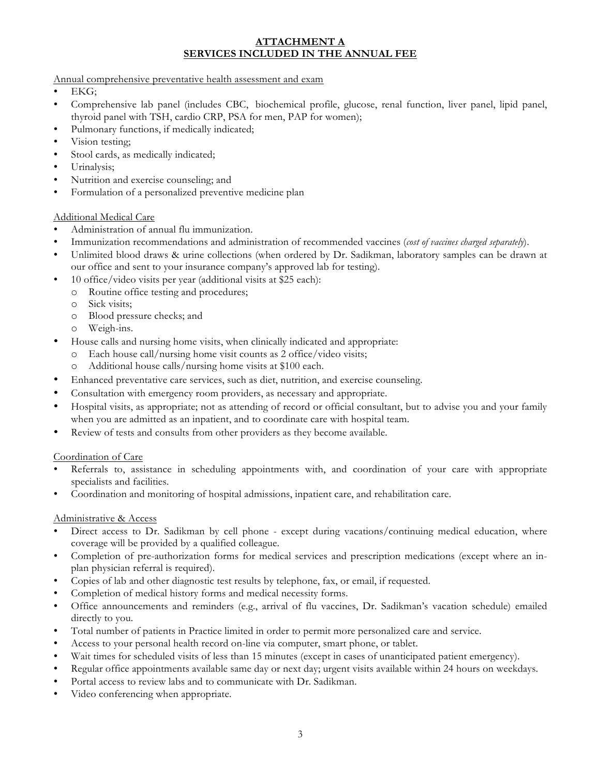### **ATTACHMENT A SERVICES INCLUDED IN THE ANNUAL FEE**

Annual comprehensive preventative health assessment and exam

- EKG;
- Comprehensive lab panel (includes CBC, biochemical profile, glucose, renal function, liver panel, lipid panel, thyroid panel with TSH, cardio CRP, PSA for men, PAP for women);
- Pulmonary functions, if medically indicated;
- Vision testing;
- Stool cards, as medically indicated;
- Urinalysis;
- Nutrition and exercise counseling; and
- Formulation of a personalized preventive medicine plan

#### Additional Medical Care

- Administration of annual flu immunization.
- Immunization recommendations and administration of recommended vaccines (*cost of vaccines charged separately*).
- Unlimited blood draws & urine collections (when ordered by Dr. Sadikman, laboratory samples can be drawn at our office and sent to your insurance company's approved lab for testing).
- 10 office/video visits per year (additional visits at \$25 each):
	- o Routine office testing and procedures;
	- o Sick visits;
	- o Blood pressure checks; and
	- o Weigh-ins.
- House calls and nursing home visits, when clinically indicated and appropriate:
	- o Each house call/nursing home visit counts as 2 office/video visits;
	- Additional house calls/nursing home visits at \$100 each.
- Enhanced preventative care services, such as diet, nutrition, and exercise counseling.
- Consultation with emergency room providers, as necessary and appropriate.
- Hospital visits, as appropriate; not as attending of record or official consultant, but to advise you and your family when you are admitted as an inpatient, and to coordinate care with hospital team.
- Review of tests and consults from other providers as they become available.

### Coordination of Care

- Referrals to, assistance in scheduling appointments with, and coordination of your care with appropriate specialists and facilities.
- Coordination and monitoring of hospital admissions, inpatient care, and rehabilitation care.

### Administrative & Access

- Direct access to Dr. Sadikman by cell phone except during vacations/continuing medical education, where coverage will be provided by a qualified colleague.
- Completion of pre-authorization forms for medical services and prescription medications (except where an inplan physician referral is required).
- Copies of lab and other diagnostic test results by telephone, fax, or email, if requested.
- Completion of medical history forms and medical necessity forms.
- Office announcements and reminders (e.g., arrival of flu vaccines, Dr. Sadikman's vacation schedule) emailed directly to you.
- Total number of patients in Practice limited in order to permit more personalized care and service.
- Access to your personal health record on-line via computer, smart phone, or tablet.
- Wait times for scheduled visits of less than 15 minutes (except in cases of unanticipated patient emergency).
- Regular office appointments available same day or next day; urgent visits available within 24 hours on weekdays.
- Portal access to review labs and to communicate with Dr. Sadikman.
- Video conferencing when appropriate.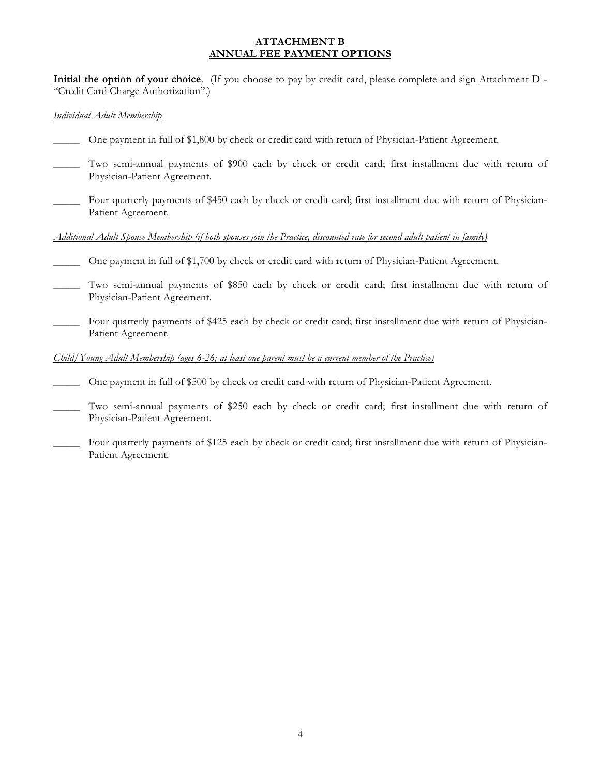# **ATTACHMENT B ANNUAL FEE PAYMENT OPTIONS**

**Initial the option of your choice**. (If you choose to pay by credit card, please complete and sign Attachment D - "Credit Card Charge Authorization".)

#### *Individual Adult Membership*

- One payment in full of \$1,800 by check or credit card with return of Physician-Patient Agreement.
- Two semi-annual payments of \$900 each by check or credit card; first installment due with return of Physician-Patient Agreement.
- Four quarterly payments of \$450 each by check or credit card; first installment due with return of Physician-Patient Agreement.

*Additional Adult Spouse Membership (if both spouses join the Practice, discounted rate for second adult patient in family)*

- One payment in full of \$1,700 by check or credit card with return of Physician-Patient Agreement.
- Two semi-annual payments of \$850 each by check or credit card; first installment due with return of Physician-Patient Agreement.
- Four quarterly payments of \$425 each by check or credit card; first installment due with return of Physician-Patient Agreement.

#### *Child/Young Adult Membership (ages 6-26; at least one parent must be a current member of the Practice)*

- One payment in full of \$500 by check or credit card with return of Physician-Patient Agreement.
- Two semi-annual payments of \$250 each by check or credit card; first installment due with return of Physician-Patient Agreement.
- Four quarterly payments of \$125 each by check or credit card; first installment due with return of Physician-Patient Agreement.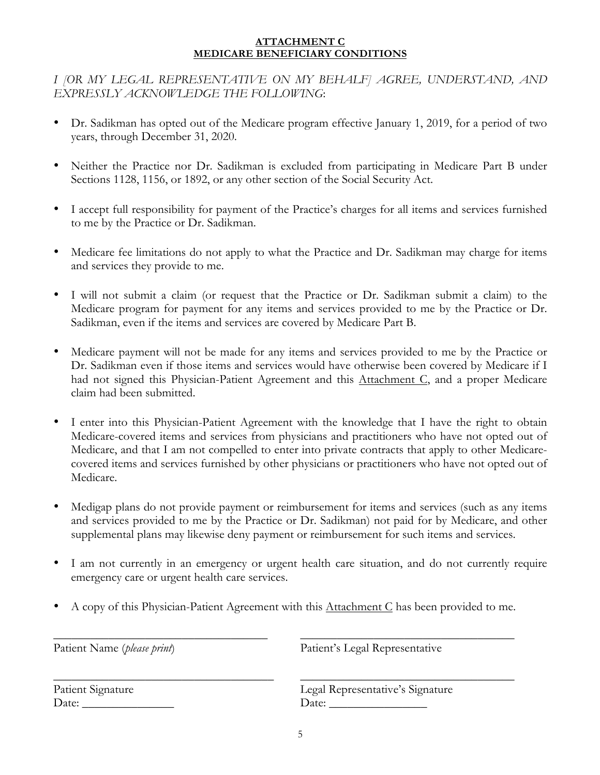# **ATTACHMENT C MEDICARE BENEFICIARY CONDITIONS**

*I [OR MY LEGAL REPRESENTATIVE ON MY BEHALF] AGREE, UNDERSTAND, AND EXPRESSLY ACKNOWLEDGE THE FOLLOWING*:

- Dr. Sadikman has opted out of the Medicare program effective January 1, 2019, for a period of two years, through December 31, 2020.
- Neither the Practice nor Dr. Sadikman is excluded from participating in Medicare Part B under Sections 1128, 1156, or 1892, or any other section of the Social Security Act.
- I accept full responsibility for payment of the Practice's charges for all items and services furnished to me by the Practice or Dr. Sadikman.
- Medicare fee limitations do not apply to what the Practice and Dr. Sadikman may charge for items and services they provide to me.
- I will not submit a claim (or request that the Practice or Dr. Sadikman submit a claim) to the Medicare program for payment for any items and services provided to me by the Practice or Dr. Sadikman, even if the items and services are covered by Medicare Part B.
- Medicare payment will not be made for any items and services provided to me by the Practice or Dr. Sadikman even if those items and services would have otherwise been covered by Medicare if I had not signed this Physician-Patient Agreement and this Attachment C, and a proper Medicare claim had been submitted.
- I enter into this Physician-Patient Agreement with the knowledge that I have the right to obtain Medicare-covered items and services from physicians and practitioners who have not opted out of Medicare, and that I am not compelled to enter into private contracts that apply to other Medicarecovered items and services furnished by other physicians or practitioners who have not opted out of Medicare.
- Medigap plans do not provide payment or reimbursement for items and services (such as any items and services provided to me by the Practice or Dr. Sadikman) not paid for by Medicare, and other supplemental plans may likewise deny payment or reimbursement for such items and services.
- I am not currently in an emergency or urgent health care situation, and do not currently require emergency care or urgent health care services.
- A copy of this Physician-Patient Agreement with this Attachment C has been provided to me.

\_\_\_\_\_\_\_\_\_\_\_\_\_\_\_\_\_\_\_\_\_\_\_\_\_\_\_\_\_\_\_\_\_\_\_ \_\_\_\_\_\_\_\_\_\_\_\_\_\_\_\_\_\_\_\_\_\_\_\_\_\_\_\_\_\_\_\_\_\_\_

Patient Name (*please print*) Patient's Legal Representative

\_\_\_\_\_\_\_\_\_\_\_\_\_\_\_\_\_\_\_\_\_\_\_\_\_\_\_\_\_\_\_\_\_\_\_\_ \_\_\_\_\_\_\_\_\_\_\_\_\_\_\_\_\_\_\_\_\_\_\_\_\_\_\_\_\_\_\_\_\_\_\_ Patient Signature Legal Representative's Signature Date: \_\_\_\_\_\_\_\_\_\_\_\_\_\_\_ Date: \_\_\_\_\_\_\_\_\_\_\_\_\_\_\_\_